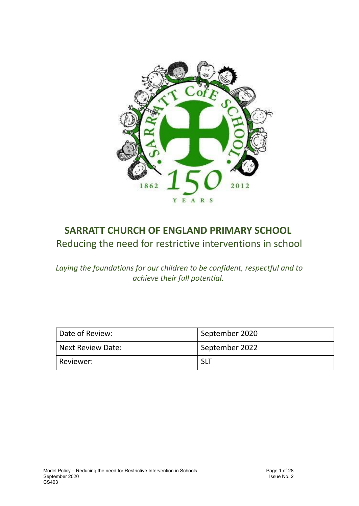

## **SARRATT CHURCH OF ENGLAND PRIMARY SCHOOL** Reducing the need for restrictive interventions in school

*Laying the foundations for our children to be confident, respectful and to achieve their full potential.*

| Date of Review:     | September 2020 |
|---------------------|----------------|
| l Next Review Date: | September 2022 |
| <b>Reviewer:</b>    | SLT            |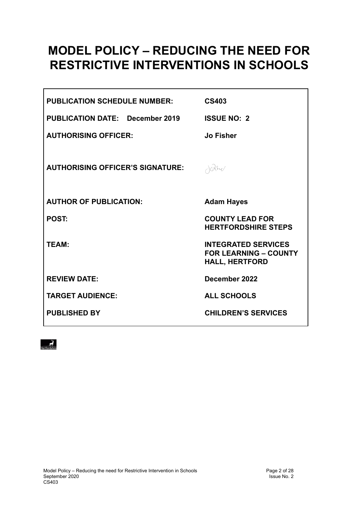# **MODEL POLICY – REDUCING THE NEED FOR RESTRICTIVE INTERVENTIONS IN SCHOOLS**

| <b>PUBLICATION SCHEDULE NUMBER:</b>     | <b>CS403</b>                                                                        |
|-----------------------------------------|-------------------------------------------------------------------------------------|
| <b>PUBLICATION DATE: December 2019</b>  | <b>ISSUE NO: 2</b>                                                                  |
| <b>AUTHORISING OFFICER:</b>             | <b>Jo Fisher</b>                                                                    |
| <b>AUTHORISING OFFICER'S SIGNATURE:</b> | $\partial G$                                                                        |
| <b>AUTHOR OF PUBLICATION:</b>           | <b>Adam Hayes</b>                                                                   |
| <b>POST:</b>                            | <b>COUNTY LEAD FOR</b><br><b>HERTFORDSHIRE STEPS</b>                                |
| <b>TEAM:</b>                            | <b>INTEGRATED SERVICES</b><br><b>FOR LEARNING - COUNTY</b><br><b>HALL, HERTFORD</b> |
| <b>REVIEW DATE:</b>                     | December 2022                                                                       |
| <b>TARGET AUDIENCE:</b>                 | <b>ALL SCHOOLS</b>                                                                  |
| <b>PUBLISHED BY</b>                     | <b>CHILDREN'S SERVICES</b>                                                          |

<span id="page-1-0"></span> $\vec{r}$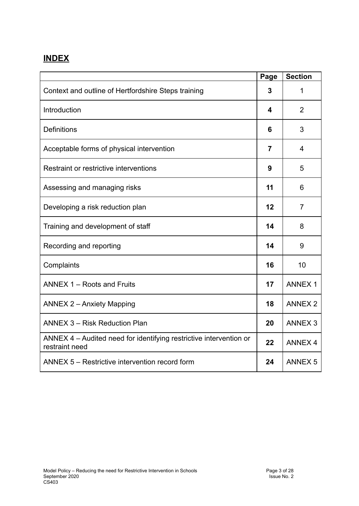## **INDEX**

|                                                                                      | Page           | <b>Section</b> |
|--------------------------------------------------------------------------------------|----------------|----------------|
| Context and outline of Hertfordshire Steps training                                  | 3              | 1              |
| Introduction                                                                         | 4              | $\overline{2}$ |
| <b>Definitions</b>                                                                   | 6              | 3              |
| Acceptable forms of physical intervention                                            | $\overline{7}$ | 4              |
| Restraint or restrictive interventions                                               | 9              | 5              |
| Assessing and managing risks                                                         | 11             | 6              |
| Developing a risk reduction plan                                                     | 12             | $\overline{7}$ |
| Training and development of staff                                                    | 14             | 8              |
| Recording and reporting                                                              | 14             | 9              |
| Complaints                                                                           | 16             | 10             |
| ANNEX 1 - Roots and Fruits                                                           | 17             | <b>ANNEX 1</b> |
| <b>ANNEX 2 - Anxiety Mapping</b>                                                     | 18             | <b>ANNEX 2</b> |
| <b>ANNEX 3 - Risk Reduction Plan</b>                                                 | 20             | <b>ANNEX 3</b> |
| ANNEX 4 - Audited need for identifying restrictive intervention or<br>restraint need | 22             | <b>ANNEX 4</b> |
| ANNEX 5 - Restrictive intervention record form                                       | 24             | <b>ANNEX 5</b> |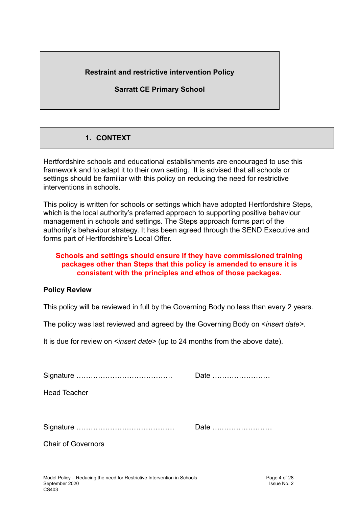#### **Restraint and restrictive intervention Policy**

**Sarratt CE Primary School**

## **1. CONTEXT**

<span id="page-3-0"></span>Hertfordshire schools and educational establishments are encouraged to use this framework and to adapt it to their own setting. It is advised that all schools or settings should be familiar with this policy on reducing the need for restrictive interventions in schools.

This policy is written for schools or settings which have adopted Hertfordshire Steps, which is the local authority's preferred approach to supporting positive behaviour management in schools and settings. The Steps approach forms part of the authority's behaviour strategy. It has been agreed through the SEND Executive and forms part of Hertfordshire's Local Offer.

#### **Schools and settings should ensure if they have commissioned training packages other than Steps that this policy is amended to ensure it is consistent with the principles and ethos of those packages.**

#### **Policy Review**

This policy will be reviewed in full by the Governing Body no less than every 2 years.

The policy was last reviewed and agreed by the Governing Body on <*insert date>*.

It is due for review on <*insert date>* (up to 24 months from the above date).

<span id="page-3-1"></span>

|                           | Date |
|---------------------------|------|
| <b>Head Teacher</b>       |      |
|                           |      |
|                           | Date |
| <b>Chair of Governors</b> |      |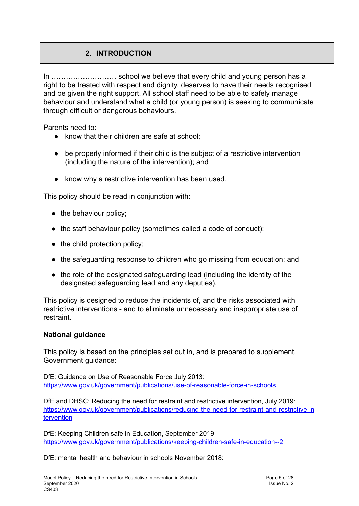## **2. INTRODUCTION**

In ……………………… school we believe that every child and young person has a right to be treated with respect and dignity, deserves to have their needs recognised and be given the right support. All school staff need to be able to safely manage behaviour and understand what a child (or young person) is seeking to communicate through difficult or dangerous behaviours.

Parents need to:

- know that their children are safe at school:
- be properly informed if their child is the subject of a restrictive intervention (including the nature of the intervention); and
- know why a restrictive intervention has been used.

This policy should be read in conjunction with:

- the behaviour policy;
- the staff behaviour policy (sometimes called a code of conduct);
- the child protection policy;
- the safeguarding response to children who go missing from education; and
- the role of the designated safeguarding lead (including the identity of the designated safeguarding lead and any deputies).

This policy is designed to reduce the incidents of, and the risks associated with restrictive interventions - and to eliminate unnecessary and inappropriate use of restraint.

#### **National guidance**

This policy is based on the principles set out in, and is prepared to supplement, Government guidance:

DfE: Guidance on Use of Reasonable Force July 2013: <https://www.gov.uk/government/publications/use-of-reasonable-force-in-schools>

DfE and DHSC: Reducing the need for restraint and restrictive intervention, July 2019: [https://www.gov.uk/government/publications/reducing-the-need-for-restraint-and-restrictive-in](https://www.gov.uk/government/publications/reducing-the-need-for-restraint-and-restrictive-intervention) [tervention](https://www.gov.uk/government/publications/reducing-the-need-for-restraint-and-restrictive-intervention)

DfE: Keeping Children safe in Education, September 2019: <https://www.gov.uk/government/publications/keeping-children-safe-in-education--2>

DfE: mental health and behaviour in schools November 2018: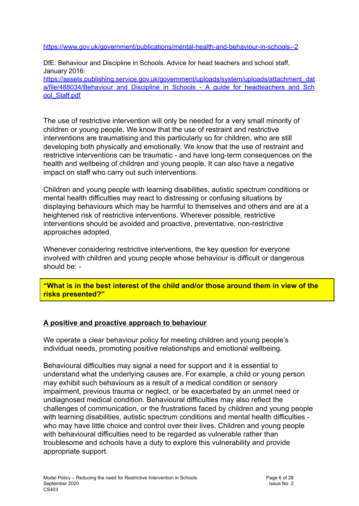<https://www.gov.uk/government/publications/mental-health-and-behaviour-in-schools--2>

DfE: Behaviour and Discipline in Schools. Advice for head teachers and school staff*,* January 2016: [https://assets.publishing.service.gov.uk/government/uploads/system/uploads/attachment\\_dat](https://assets.publishing.service.gov.uk/government/uploads/system/uploads/attachment_data/file/488034/Behaviour_and_Discipline_in_Schools_-_A_guide_for_headteachers_and_School_Staff.pdf) [a/file/488034/Behaviour\\_and\\_Discipline\\_in\\_Schools\\_-\\_A\\_guide\\_for\\_headteachers\\_and\\_Sch](https://assets.publishing.service.gov.uk/government/uploads/system/uploads/attachment_data/file/488034/Behaviour_and_Discipline_in_Schools_-_A_guide_for_headteachers_and_School_Staff.pdf) ool Staff.pdf

The use of restrictive intervention will only be needed for a very small minority of children or young people. We know that the use of restraint and restrictive interventions are traumatising and this particularly so for children, who are still developing both physically and emotionally. We know that the use of restraint and restrictive interventions can be traumatic - and have long-term consequences on the health and wellbeing of children and young people. It can also have a negative impact on staff who carry out such interventions.

Children and young people with learning disabilities, autistic spectrum conditions or mental health difficulties may react to distressing or confusing situations by displaying behaviours which may be harmful to themselves and others and are at a heightened risk of restrictive interventions. Wherever possible, restrictive interventions should be avoided and proactive, preventative, non-restrictive approaches adopted.

Whenever considering restrictive interventions, the key question for everyone involved with children and young people whose behaviour is difficult or dangerous should be: -

**"What is in the best interest of the child and/or those around them in view of the risks presented?"**

#### **A positive and proactive approach to behaviour**

We operate a clear behaviour policy for meeting children and young people's individual needs, promoting positive relationships and emotional wellbeing.

Behavioural difficulties may signal a need for support and it is essential to understand what the underlying causes are. For example, a child or young person may exhibit such behaviours as a result of a medical condition or sensory impairment, previous trauma or neglect, or be exacerbated by an unmet need or undiagnosed medical condition. Behavioural difficulties may also reflect the challenges of communication, or the frustrations faced by children and young people with learning disabilities, autistic spectrum conditions and mental health difficulties who may have little choice and control over their lives. Children and young people with behavioural difficulties need to be regarded as vulnerable rather than troublesome and schools have a duty to explore this vulnerability and provide appropriate support.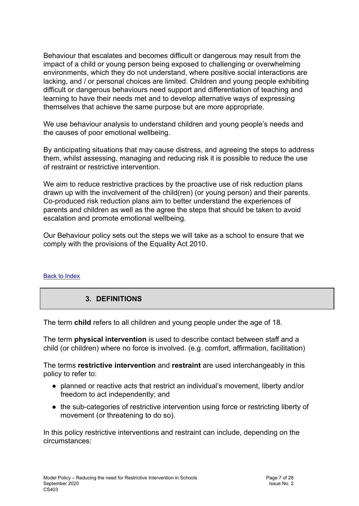Behaviour that escalates and becomes difficult or dangerous may result from the impact of a child or young person being exposed to challenging or overwhelming environments, which they do not understand, where positive social interactions are lacking, and / or personal choices are limited. Children and young people exhibiting difficult or dangerous behaviours need support and differentiation of teaching and learning to have their needs met and to develop alternative ways of expressing themselves that achieve the same purpose but are more appropriate.

We use behaviour analysis to understand children and young people's needs and the causes of poor emotional wellbeing.

By anticipating situations that may cause distress, and agreeing the steps to address them, whilst assessing, managing and reducing risk it is possible to reduce the use of restraint or restrictive intervention.

We aim to reduce restrictive practices by the proactive use of risk reduction plans drawn up with the involvement of the child(ren) (or young person) and their parents. Co-produced risk reduction plans aim to better understand the experiences of parents and children as well as the agree the steps that should be taken to avoid escalation and promote emotional wellbeing.

Our Behaviour policy sets out the steps we will take as a school to ensure that we comply with the provisions of the Equality Act 2010.

#### Back to [Index](#page-1-0)

#### **3. DEFINITIONS**

The term **child** refers to all children and young people under the age of 18.

The term **physical intervention** is used to describe contact between staff and a child (or children) where no force is involved. (e.g. comfort, affirmation, facilitation)

The terms **restrictive intervention** and **restraint** are used interchangeably in this policy to refer to:

- planned or reactive acts that restrict an individual's movement, liberty and/or freedom to act independently; and
- the sub-categories of restrictive intervention using force or restricting liberty of movement (or threatening to do so).

In this policy restrictive interventions and restraint can include, depending on the circumstances: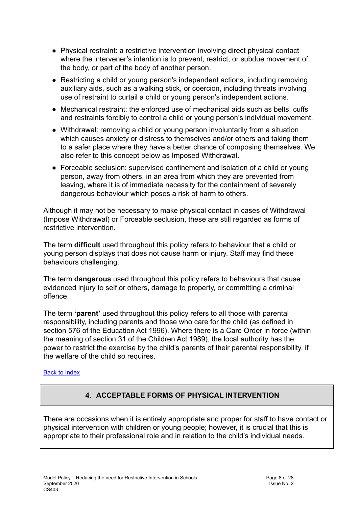- Physical restraint: a restrictive intervention involving direct physical contact where the intervener's intention is to prevent, restrict, or subdue movement of the body, or part of the body of another person.
- Restricting a child or young person's independent actions, including removing auxiliary aids, such as a walking stick, or coercion, including threats involving use of restraint to curtail a child or young person's independent actions.
- Mechanical restraint: the enforced use of mechanical aids such as belts, cuffs and restraints forcibly to control a child or young person's individual movement.
- Withdrawal: removing a child or young person involuntarily from a situation which causes anxiety or distress to themselves and/or others and taking them to a safer place where they have a better chance of composing themselves. We also refer to this concept below as Imposed Withdrawal.
- Forceable seclusion: supervised confinement and isolation of a child or young person, away from others, in an area from which they are prevented from leaving, where it is of immediate necessity for the containment of severely dangerous behaviour which poses a risk of harm to others.

Although it may not be necessary to make physical contact in cases of Withdrawal (Impose Withdrawal) or Forceable seclusion, these are still regarded as forms of restrictive intervention.

The term **difficult** used throughout this policy refers to behaviour that a child or young person displays that does not cause harm or injury. Staff may find these behaviours challenging.

The term **dangerous** used throughout this policy refers to behaviours that cause evidenced injury to self or others, damage to property, or committing a criminal offence.

The term **'parent'** used throughout this policy refers to all those with parental responsibility, including parents and those who care for the child (as defined in section 576 of the Education Act 1996). Where there is a Care Order in force (within the meaning of section 31 of the Children Act 1989), the local authority has the power to restrict the exercise by the child's parents of their parental responsibility, if the welfare of the child so requires.

#### <span id="page-7-0"></span>Back to [Index](#page-1-0)

### **4. ACCEPTABLE FORMS OF PHYSICAL INTERVENTION**

There are occasions when it is entirely appropriate and proper for staff to have contact or physical intervention with children or young people; however, it is crucial that this is appropriate to their professional role and in relation to the child's individual needs.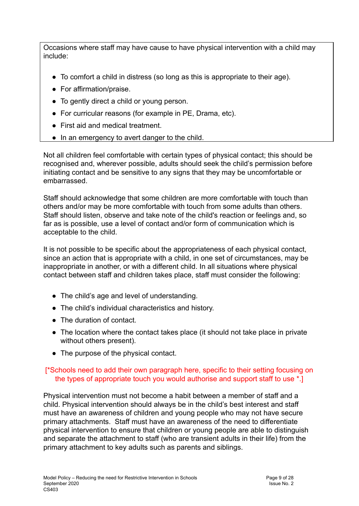Occasions where staff may have cause to have physical intervention with a child may include:

- To comfort a child in distress (so long as this is appropriate to their age).
- For affirmation/praise.
- To gently direct a child or young person.
- For curricular reasons (for example in PE, Drama, etc).
- First aid and medical treatment.
- In an emergency to avert danger to the child.

Not all children feel comfortable with certain types of physical contact; this should be recognised and, wherever possible, adults should seek the child's permission before initiating contact and be sensitive to any signs that they may be uncomfortable or embarrassed.

Staff should acknowledge that some children are more comfortable with touch than others and/or may be more comfortable with touch from some adults than others. Staff should listen, observe and take note of the child's reaction or feelings and, so far as is possible, use a level of contact and/or form of communication which is acceptable to the child.

It is not possible to be specific about the appropriateness of each physical contact, since an action that is appropriate with a child, in one set of circumstances, may be inappropriate in another, or with a different child. In all situations where physical contact between staff and children takes place, staff must consider the following:

- The child's age and level of understanding.
- The child's individual characteristics and history.
- The duration of contact.
- The location where the contact takes place (it should not take place in private without others present).
- The purpose of the physical contact.

#### [\*Schools need to add their own paragraph here, specific to their setting focusing on the types of appropriate touch you would authorise and support staff to use \*.]

Physical intervention must not become a habit between a member of staff and a child. Physical intervention should always be in the child's best interest and staff must have an awareness of children and young people who may not have secure primary attachments. Staff must have an awareness of the need to differentiate physical intervention to ensure that children or young people are able to distinguish and separate the attachment to staff (who are transient adults in their life) from the primary attachment to key adults such as parents and siblings.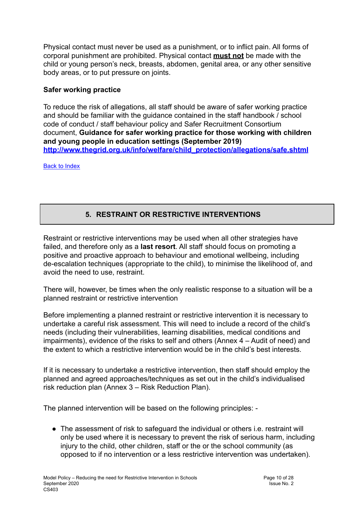Physical contact must never be used as a punishment, or to inflict pain. All forms of corporal punishment are prohibited. Physical contact **must not** be made with the child or young person's neck, breasts, abdomen, genital area, or any other sensitive body areas, or to put pressure on joints.

#### **Safer working practice**

To reduce the risk of allegations, all staff should be aware of safer working practice and should be familiar with the guidance contained in the staff handbook / school code of conduct / staff behaviour policy and Safer Recruitment Consortium document, **Guidance for safer working practice for those working with children and young people in education settings (September 2019) [http://www.thegrid.org.uk/info/welfare/child\\_protection/allegations/safe.shtml](http://www.thegrid.org.uk/info/welfare/child_protection/allegations/safe.shtml)**

<span id="page-9-0"></span>Back to [Index](#page-1-0)

## **5. RESTRAINT OR RESTRICTIVE INTERVENTIONS**

Restraint or restrictive interventions may be used when all other strategies have failed, and therefore only as a **last resort**. All staff should focus on promoting a positive and proactive approach to behaviour and emotional wellbeing, including de-escalation techniques (appropriate to the child), to minimise the likelihood of, and avoid the need to use, restraint.

There will, however, be times when the only realistic response to a situation will be a planned restraint or restrictive intervention

Before implementing a planned restraint or restrictive intervention it is necessary to undertake a careful risk assessment. This will need to include a record of the child's needs (including their vulnerabilities, learning disabilities, medical conditions and impairments), evidence of the risks to self and others (Annex 4 – Audit of need) and the extent to which a restrictive intervention would be in the child's best interests.

If it is necessary to undertake a restrictive intervention, then staff should employ the planned and agreed approaches/techniques as set out in the child's individualised risk reduction plan (Annex 3 – Risk Reduction Plan).

The planned intervention will be based on the following principles: -

• The assessment of risk to safeguard the individual or others i.e. restraint will only be used where it is necessary to prevent the risk of serious harm, including injury to the child, other children, staff or the or the school community (as opposed to if no intervention or a less restrictive intervention was undertaken).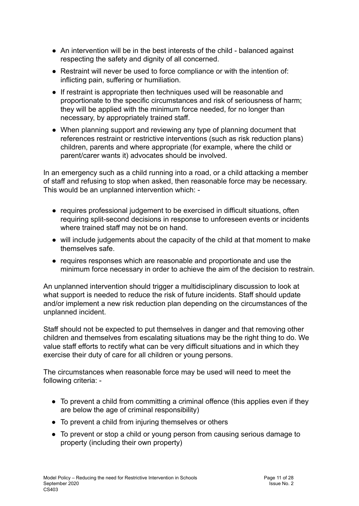- An intervention will be in the best interests of the child balanced against respecting the safety and dignity of all concerned.
- Restraint will never be used to force compliance or with the intention of: inflicting pain, suffering or humiliation.
- If restraint is appropriate then techniques used will be reasonable and proportionate to the specific circumstances and risk of seriousness of harm; they will be applied with the minimum force needed, for no longer than necessary, by appropriately trained staff.
- When planning support and reviewing any type of planning document that references restraint or restrictive interventions (such as risk reduction plans) children, parents and where appropriate (for example, where the child or parent/carer wants it) advocates should be involved.

In an emergency such as a child running into a road, or a child attacking a member of staff and refusing to stop when asked, then reasonable force may be necessary. This would be an unplanned intervention which: -

- requires professional judgement to be exercised in difficult situations, often requiring split-second decisions in response to unforeseen events or incidents where trained staff may not be on hand.
- will include judgements about the capacity of the child at that moment to make themselves safe.
- requires responses which are reasonable and proportionate and use the minimum force necessary in order to achieve the aim of the decision to restrain.

An unplanned intervention should trigger a multidisciplinary discussion to look at what support is needed to reduce the risk of future incidents. Staff should update and/or implement a new risk reduction plan depending on the circumstances of the unplanned incident.

Staff should not be expected to put themselves in danger and that removing other children and themselves from escalating situations may be the right thing to do. We value staff efforts to rectify what can be very difficult situations and in which they exercise their duty of care for all children or young persons.

The circumstances when reasonable force may be used will need to meet the following criteria: -

- To prevent a child from committing a criminal offence (this applies even if they are below the age of criminal responsibility)
- To prevent a child from injuring themselves or others
- To prevent or stop a child or young person from causing serious damage to property (including their own property)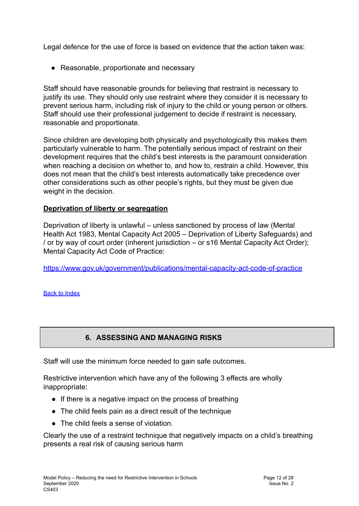Legal defence for the use of force is based on evidence that the action taken was:

● Reasonable, proportionate and necessary

Staff should have reasonable grounds for believing that restraint is necessary to justify its use. They should only use restraint where they consider it is necessary to prevent serious harm, including risk of injury to the child or young person or others. Staff should use their professional judgement to decide if restraint is necessary, reasonable and proportionate.

Since children are developing both physically and psychologically this makes them particularly vulnerable to harm. The potentially serious impact of restraint on their development requires that the child's best interests is the paramount consideration when reaching a decision on whether to, and how to, restrain a child. However, this does not mean that the child's best interests automatically take precedence over other considerations such as other people's rights, but they must be given due weight in the decision.

#### **Deprivation of liberty or segregation**

Deprivation of liberty is unlawful – unless sanctioned by process of law (Mental Health Act 1983, Mental Capacity Act 2005 – Deprivation of Liberty Safeguards) and / or by way of court order (inherent jurisdiction – or s16 Mental Capacity Act Order); Mental Capacity Act Code of Practice:

<https://www.gov.uk/government/publications/mental-capacity-act-code-of-practice>

<span id="page-11-0"></span>Back to [Index](#page-1-0)

### **6. ASSESSING AND MANAGING RISKS**

Staff will use the minimum force needed to gain safe outcomes.

Restrictive intervention which have any of the following 3 effects are wholly inappropriate:

- If there is a negative impact on the process of breathing
- The child feels pain as a direct result of the technique
- The child feels a sense of violation.

Clearly the use of a restraint technique that negatively impacts on a child's breathing presents a real risk of causing serious harm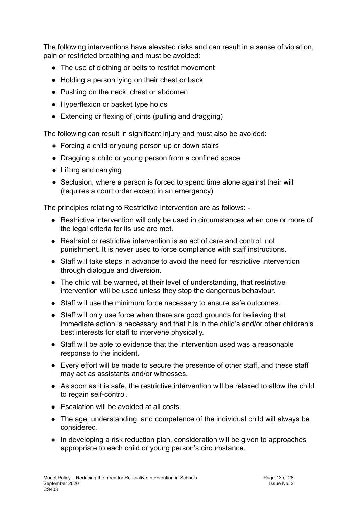The following interventions have elevated risks and can result in a sense of violation, pain or restricted breathing and must be avoided:

- The use of clothing or belts to restrict movement
- Holding a person lying on their chest or back
- Pushing on the neck, chest or abdomen
- Hyperflexion or basket type holds
- Extending or flexing of joints (pulling and dragging)

The following can result in significant injury and must also be avoided:

- Forcing a child or young person up or down stairs
- Dragging a child or young person from a confined space
- Lifting and carrying
- Seclusion, where a person is forced to spend time alone against their will (requires a court order except in an emergency)

The principles relating to Restrictive Intervention are as follows: -

- Restrictive intervention will only be used in circumstances when one or more of the legal criteria for its use are met.
- Restraint or restrictive intervention is an act of care and control, not punishment. It is never used to force compliance with staff instructions.
- Staff will take steps in advance to avoid the need for restrictive Intervention through dialogue and diversion.
- The child will be warned, at their level of understanding, that restrictive intervention will be used unless they stop the dangerous behaviour.
- Staff will use the minimum force necessary to ensure safe outcomes.
- Staff will only use force when there are good grounds for believing that immediate action is necessary and that it is in the child's and/or other children's best interests for staff to intervene physically.
- Staff will be able to evidence that the intervention used was a reasonable response to the incident.
- Every effort will be made to secure the presence of other staff, and these staff may act as assistants and/or witnesses.
- As soon as it is safe, the restrictive intervention will be relaxed to allow the child to regain self-control.
- Escalation will be avoided at all costs.
- The age, understanding, and competence of the individual child will always be considered.
- In developing a risk reduction plan, consideration will be given to approaches appropriate to each child or young person's circumstance.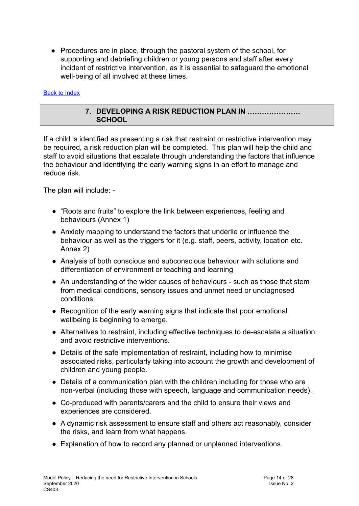● Procedures are in place, through the pastoral system of the school, for supporting and debriefing children or young persons and staff after every incident of restrictive intervention, as it is essential to safeguard the emotional well-being of all involved at these times.

#### <span id="page-13-0"></span>Back to [Index](#page-1-0)

#### **7. DEVELOPING A RISK REDUCTION PLAN IN …………………. SCHOOL**

If a child is identified as presenting a risk that restraint or restrictive intervention may be required, a risk reduction plan will be completed. This plan will help the child and staff to avoid situations that escalate through understanding the factors that influence the behaviour and identifying the early warning signs in an effort to manage and reduce risk.

The plan will include: -

- "Roots and fruits" to explore the link between experiences, feeling and behaviours (Annex 1)
- Anxiety mapping to understand the factors that underlie or influence the behaviour as well as the triggers for it (e.g. staff, peers, activity, location etc. Annex 2)
- Analysis of both conscious and subconscious behaviour with solutions and differentiation of environment or teaching and learning
- An understanding of the wider causes of behaviours such as those that stem from medical conditions, sensory issues and unmet need or undiagnosed conditions.
- Recognition of the early warning signs that indicate that poor emotional wellbeing is beginning to emerge.
- Alternatives to restraint, including effective techniques to de-escalate a situation and avoid restrictive interventions.
- Details of the safe implementation of restraint, including how to minimise associated risks, particularly taking into account the growth and development of children and young people.
- Details of a communication plan with the children including for those who are non-verbal (including those with speech, language and communication needs).
- Co-produced with parents/carers and the child to ensure their views and experiences are considered.
- A dynamic risk assessment to ensure staff and others act reasonably, consider the risks, and learn from what happens.
- Explanation of how to record any planned or unplanned interventions.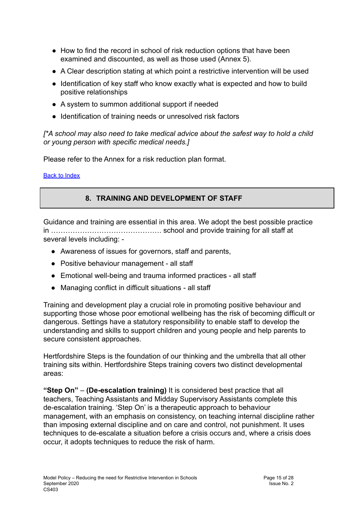- How to find the record in school of risk reduction options that have been examined and discounted, as well as those used (Annex 5).
- A Clear description stating at which point a restrictive intervention will be used
- Identification of key staff who know exactly what is expected and how to build positive relationships
- A system to summon additional support if needed
- Identification of training needs or unresolved risk factors

*[\*A school may also need to take medical advice about the safest way to hold a child or young person with specific medical needs.]*

Please refer to the Annex for a risk reduction plan format.

<span id="page-14-0"></span>Back to [Index](#page-1-0)

## **8. TRAINING AND DEVELOPMENT OF STAFF**

Guidance and training are essential in this area. We adopt the best possible practice in ………………………………………. school and provide training for all staff at several levels including: -

- Awareness of issues for governors, staff and parents,
- Positive behaviour management all staff
- Emotional well-being and trauma informed practices all staff
- Managing conflict in difficult situations all staff

Training and development play a crucial role in promoting positive behaviour and supporting those whose poor emotional wellbeing has the risk of becoming difficult or dangerous. Settings have a statutory responsibility to enable staff to develop the understanding and skills to support children and young people and help parents to secure consistent approaches.

Hertfordshire Steps is the foundation of our thinking and the umbrella that all other training sits within. Hertfordshire Steps training covers two distinct developmental areas:

**"Step On"** – **(De-escalation training)** It is considered best practice that all teachers, Teaching Assistants and Midday Supervisory Assistants complete this de-escalation training. 'Step On' is a therapeutic approach to behaviour management, with an emphasis on consistency, on teaching internal discipline rather than imposing external discipline and on care and control, not punishment. It uses techniques to de-escalate a situation before a crisis occurs and, where a crisis does occur, it adopts techniques to reduce the risk of harm.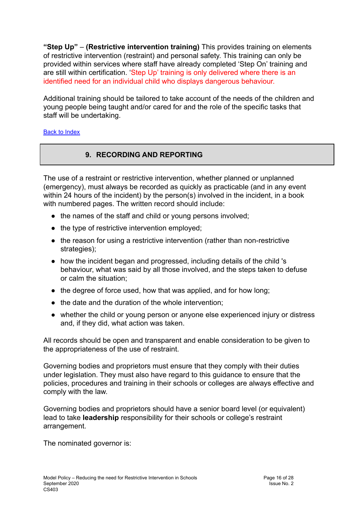**"Step Up"** – **(Restrictive intervention training)** This provides training on elements of restrictive intervention (restraint) and personal safety. This training can only be provided within services where staff have already completed 'Step On' training and are still within certification. 'Step Up' training is only delivered where there is an identified need for an individual child who displays dangerous behaviour.

Additional training should be tailored to take account of the needs of the children and young people being taught and/or cared for and the role of the specific tasks that staff will be undertaking.

#### <span id="page-15-0"></span>Back to [Index](#page-1-0)

## **9. RECORDING AND REPORTING**

The use of a restraint or restrictive intervention, whether planned or unplanned (emergency), must always be recorded as quickly as practicable (and in any event within 24 hours of the incident) by the person(s) involved in the incident, in a book with numbered pages. The written record should include:

- the names of the staff and child or young persons involved;
- the type of restrictive intervention employed;
- the reason for using a restrictive intervention (rather than non-restrictive strategies);
- how the incident began and progressed, including details of the child 's behaviour, what was said by all those involved, and the steps taken to defuse or calm the situation;
- the degree of force used, how that was applied, and for how long;
- the date and the duration of the whole intervention;
- whether the child or young person or anyone else experienced injury or distress and, if they did, what action was taken.

All records should be open and transparent and enable consideration to be given to the appropriateness of the use of restraint.

Governing bodies and proprietors must ensure that they comply with their duties under legislation. They must also have regard to this guidance to ensure that the policies, procedures and training in their schools or colleges are always effective and comply with the law.

Governing bodies and proprietors should have a senior board level (or equivalent) lead to take **leadership** responsibility for their schools or college's restraint arrangement.

The nominated governor is: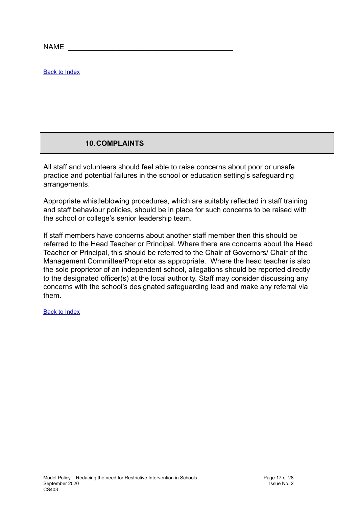$NAME$ 

Back to [Index](#page-1-0)

### **10.COMPLAINTS**

<span id="page-16-0"></span>All staff and volunteers should feel able to raise concerns about poor or unsafe practice and potential failures in the school or education setting's safeguarding arrangements.

Appropriate whistleblowing procedures, which are suitably reflected in staff training and staff behaviour policies, should be in place for such concerns to be raised with the school or college's senior leadership team.

If staff members have concerns about another staff member then this should be referred to the Head Teacher or Principal. Where there are concerns about the Head Teacher or Principal, this should be referred to the Chair of Governors/ Chair of the Management Committee/Proprietor as appropriate. Where the head teacher is also the sole proprietor of an independent school, allegations should be reported directly to the designated officer(s) at the local authority. Staff may consider discussing any concerns with the school's designated safeguarding lead and make any referral via them.

Back to [Index](#page-1-0)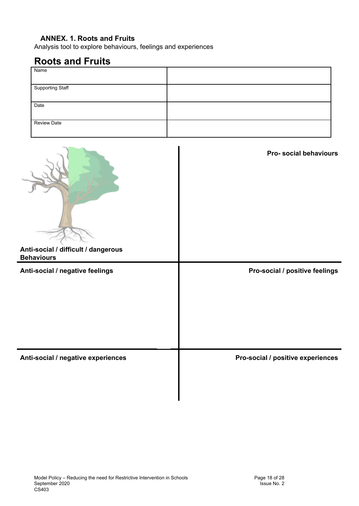### **ANNEX. 1. Roots and Fruits**

Analysis tool to explore behaviours, feelings and experiences

## **Roots and Fruits**

| Name                    |  |
|-------------------------|--|
|                         |  |
| <b>Supporting Staff</b> |  |
|                         |  |
| Date                    |  |
|                         |  |
| Review Date             |  |
|                         |  |

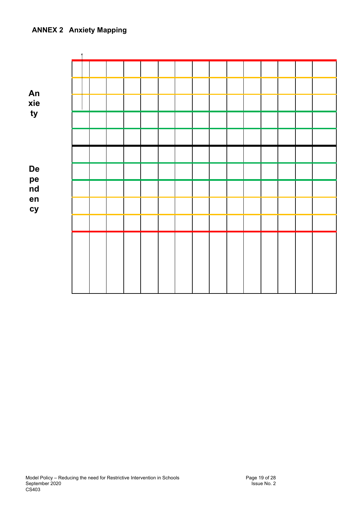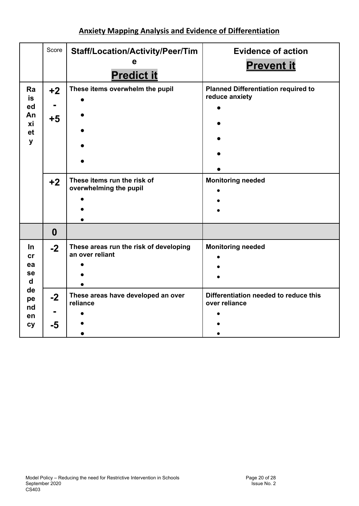## **Anxiety Mapping Analysis and Evidence of Differentiation**

|                                                   | Score                | <b>Staff/Location/Activity/Peer/Tim</b><br><b>Predict it</b>                             | <b>Evidence of action</b><br><b>Prevent it</b>                                           |
|---------------------------------------------------|----------------------|------------------------------------------------------------------------------------------|------------------------------------------------------------------------------------------|
| Ra<br><b>is</b><br>ed<br>An<br>хi<br>et<br>y      | $+2$<br>$+5$<br>$+2$ | These items overwhelm the pupil<br>These items run the risk of<br>overwhelming the pupil | <b>Planned Differentiation required to</b><br>reduce anxiety<br><b>Monitoring needed</b> |
|                                                   |                      |                                                                                          |                                                                                          |
|                                                   | $\boldsymbol{0}$     |                                                                                          |                                                                                          |
| <u>In</u><br>cr<br>ea<br><b>se</b><br>$\mathbf d$ | $-2$                 | These areas run the risk of developing<br>an over reliant                                | <b>Monitoring needed</b>                                                                 |
| de<br>pe<br>nd<br>en<br><b>cy</b>                 | $-2$<br>-5           | These areas have developed an over<br>reliance                                           | Differentiation needed to reduce this<br>over reliance                                   |
|                                                   |                      |                                                                                          |                                                                                          |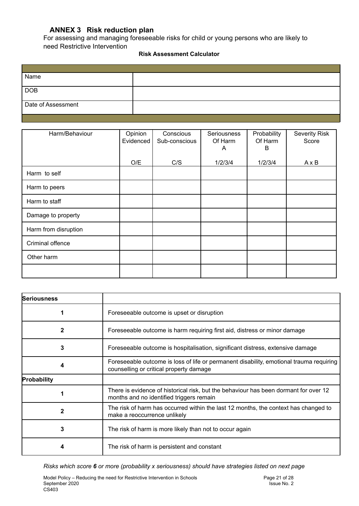#### **ANNEX 3 Risk reduction plan**

For assessing and managing foreseeable risks for child or young persons who are likely to need Restrictive Intervention

#### **Risk Assessment Calculator**

| Name               |  |
|--------------------|--|
|                    |  |
| <b>DOB</b>         |  |
| Date of Assessment |  |
|                    |  |

| Harm/Behaviour       | Opinion<br>Evidenced | Conscious<br>Sub-conscious | Seriousness<br>Of Harm<br>A | Probability<br>Of Harm<br>В | <b>Severity Risk</b><br>Score |
|----------------------|----------------------|----------------------------|-----------------------------|-----------------------------|-------------------------------|
|                      | O/E                  | C/S                        | 1/2/3/4                     | 1/2/3/4                     | $A \times B$                  |
| Harm to self         |                      |                            |                             |                             |                               |
| Harm to peers        |                      |                            |                             |                             |                               |
| Harm to staff        |                      |                            |                             |                             |                               |
| Damage to property   |                      |                            |                             |                             |                               |
| Harm from disruption |                      |                            |                             |                             |                               |
| Criminal offence     |                      |                            |                             |                             |                               |
| Other harm           |                      |                            |                             |                             |                               |
|                      |                      |                            |                             |                             |                               |

| <b>Seriousness</b> |                                                                                                                                    |
|--------------------|------------------------------------------------------------------------------------------------------------------------------------|
|                    | Foreseeable outcome is upset or disruption                                                                                         |
| 2                  | Foreseeable outcome is harm requiring first aid, distress or minor damage                                                          |
| 3                  | Foreseeable outcome is hospitalisation, significant distress, extensive damage                                                     |
| 4                  | Foreseeable outcome is loss of life or permanent disability, emotional trauma requiring<br>counselling or critical property damage |
| Probability        |                                                                                                                                    |
|                    | There is evidence of historical risk, but the behaviour has been dormant for over 12<br>months and no identified triggers remain   |
|                    | The risk of harm has occurred within the last 12 months, the context has changed to<br>make a reoccurrence unlikely                |
| 3                  | The risk of harm is more likely than not to occur again                                                                            |
|                    | The risk of harm is persistent and constant                                                                                        |

*Risks which score 6 or more (probability x seriousness) should have strategies listed on next page*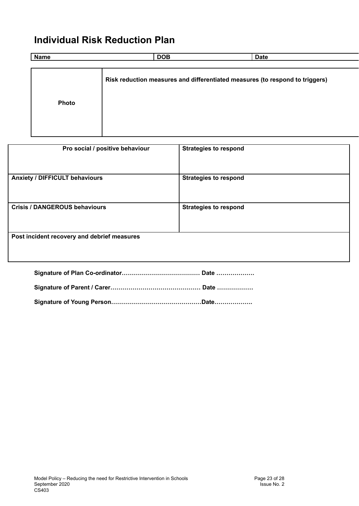## **Individual Risk Reduction Plan**

 $\mathsf{l}$ 

| <b>Name</b> | <b>DOB</b> | <b>Date</b>                                                                  |  |
|-------------|------------|------------------------------------------------------------------------------|--|
|             |            |                                                                              |  |
|             |            | Risk reduction measures and differentiated measures (to respond to triggers) |  |
| Photo       |            |                                                                              |  |
|             |            |                                                                              |  |

| Pro social / positive behaviour             | <b>Strategies to respond</b> |  |  |  |
|---------------------------------------------|------------------------------|--|--|--|
| <b>Anxiety / DIFFICULT behaviours</b>       | <b>Strategies to respond</b> |  |  |  |
| <b>Crisis / DANGEROUS behaviours</b>        | <b>Strategies to respond</b> |  |  |  |
| Post incident recovery and debrief measures |                              |  |  |  |
| Date                                        |                              |  |  |  |

**Signature of Young Person………………………………………Date……………….**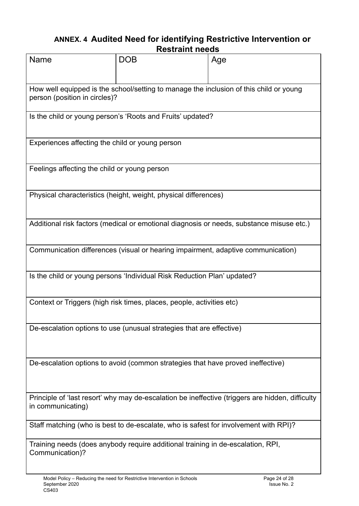## **ANNEX. 4 Audited Need for identifying Restrictive Intervention or Restraint needs**

|                                                                                                                         | ngan ann nggua                                                  |                                                                                          |  |  |  |
|-------------------------------------------------------------------------------------------------------------------------|-----------------------------------------------------------------|------------------------------------------------------------------------------------------|--|--|--|
| <b>Name</b>                                                                                                             | <b>DOB</b>                                                      | Age                                                                                      |  |  |  |
| How well equipped is the school/setting to manage the inclusion of this child or young<br>person (position in circles)? |                                                                 |                                                                                          |  |  |  |
| Is the child or young person's 'Roots and Fruits' updated?                                                              |                                                                 |                                                                                          |  |  |  |
| Experiences affecting the child or young person                                                                         |                                                                 |                                                                                          |  |  |  |
| Feelings affecting the child or young person                                                                            |                                                                 |                                                                                          |  |  |  |
|                                                                                                                         | Physical characteristics (height, weight, physical differences) |                                                                                          |  |  |  |
|                                                                                                                         |                                                                 | Additional risk factors (medical or emotional diagnosis or needs, substance misuse etc.) |  |  |  |
| Communication differences (visual or hearing impairment, adaptive communication)                                        |                                                                 |                                                                                          |  |  |  |
| Is the child or young persons 'Individual Risk Reduction Plan' updated?                                                 |                                                                 |                                                                                          |  |  |  |
| Context or Triggers (high risk times, places, people, activities etc)                                                   |                                                                 |                                                                                          |  |  |  |
| De-escalation options to use (unusual strategies that are effective)                                                    |                                                                 |                                                                                          |  |  |  |
| De-escalation options to avoid (common strategies that have proved ineffective)                                         |                                                                 |                                                                                          |  |  |  |
| Principle of 'last resort' why may de-escalation be ineffective (triggers are hidden, difficulty<br>in communicating)   |                                                                 |                                                                                          |  |  |  |
| Staff matching (who is best to de-escalate, who is safest for involvement with RPI)?                                    |                                                                 |                                                                                          |  |  |  |
| Training needs (does anybody require additional training in de-escalation, RPI,<br>Communication)?                      |                                                                 |                                                                                          |  |  |  |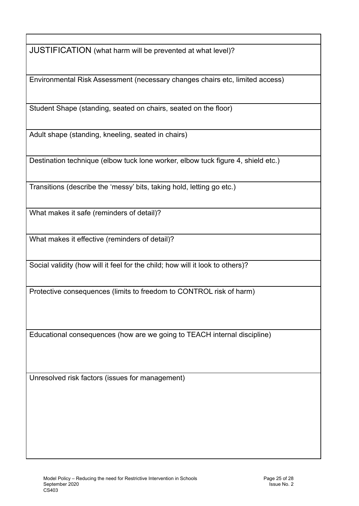JUSTIFICATION (what harm will be prevented at what level)?

Environmental Risk Assessment (necessary changes chairs etc, limited access)

Student Shape (standing, seated on chairs, seated on the floor)

Adult shape (standing, kneeling, seated in chairs)

Destination technique (elbow tuck lone worker, elbow tuck figure 4, shield etc.)

Transitions (describe the 'messy' bits, taking hold, letting go etc.)

What makes it safe (reminders of detail)?

What makes it effective (reminders of detail)?

Social validity (how will it feel for the child; how will it look to others)?

Protective consequences (limits to freedom to CONTROL risk of harm)

Educational consequences (how are we going to TEACH internal discipline)

<span id="page-24-0"></span>Unresolved risk factors (issues for management)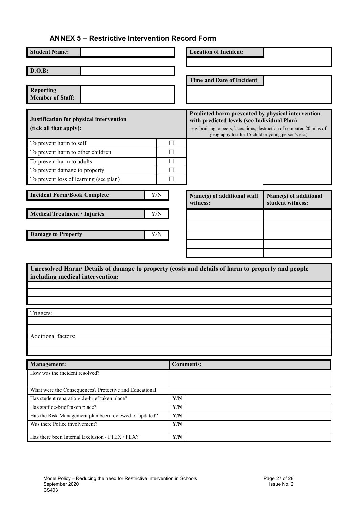#### **ANNEX 5 – Restrictive Intervention Record Form**

| <b>Student Name:</b>                                                                            |                         | <b>Location of Incident:</b>                                                                                            |                                           |  |
|-------------------------------------------------------------------------------------------------|-------------------------|-------------------------------------------------------------------------------------------------------------------------|-------------------------------------------|--|
| D.O.B:                                                                                          |                         |                                                                                                                         |                                           |  |
|                                                                                                 |                         |                                                                                                                         |                                           |  |
|                                                                                                 |                         | Time and Date of Incident:                                                                                              |                                           |  |
| <b>Reporting</b><br><b>Member of Staff:</b>                                                     |                         |                                                                                                                         |                                           |  |
|                                                                                                 |                         |                                                                                                                         |                                           |  |
|                                                                                                 |                         | Predicted harm prevented by physical intervention                                                                       |                                           |  |
| Justification for physical intervention<br>(tick all that apply):                               |                         | with predicted levels (see Individual Plan)<br>e.g. bruising to peers, lacerations, destruction of computer, 20 mins of |                                           |  |
|                                                                                                 |                         | geography lost for 15 child or young person's etc.)                                                                     |                                           |  |
| To prevent harm to self                                                                         | $\Box$                  |                                                                                                                         |                                           |  |
| To prevent harm to other children                                                               | П                       |                                                                                                                         |                                           |  |
| To prevent harm to adults                                                                       | П                       |                                                                                                                         |                                           |  |
| To prevent damage to property                                                                   | $\Box$                  |                                                                                                                         |                                           |  |
| To prevent loss of learning (see plan)                                                          | П                       |                                                                                                                         |                                           |  |
| <b>Incident Form/Book Complete</b>                                                              | Y/N                     |                                                                                                                         |                                           |  |
|                                                                                                 |                         | Name(s) of additional staff<br>witness:                                                                                 | Name(s) of additional<br>student witness: |  |
| <b>Medical Treatment / Injuries</b>                                                             | Y/N                     |                                                                                                                         |                                           |  |
|                                                                                                 |                         |                                                                                                                         |                                           |  |
|                                                                                                 |                         |                                                                                                                         |                                           |  |
| <b>Damage to Property</b>                                                                       | Y/N                     |                                                                                                                         |                                           |  |
|                                                                                                 |                         |                                                                                                                         |                                           |  |
|                                                                                                 |                         |                                                                                                                         |                                           |  |
| Unresolved Harm/Details of damage to property (costs and details of harm to property and people |                         |                                                                                                                         |                                           |  |
| including medical intervention:                                                                 |                         |                                                                                                                         |                                           |  |
|                                                                                                 |                         |                                                                                                                         |                                           |  |
|                                                                                                 |                         |                                                                                                                         |                                           |  |
|                                                                                                 |                         |                                                                                                                         |                                           |  |
| Triggers:                                                                                       |                         |                                                                                                                         |                                           |  |
|                                                                                                 |                         |                                                                                                                         |                                           |  |
| Additional factors:                                                                             |                         |                                                                                                                         |                                           |  |
|                                                                                                 |                         |                                                                                                                         |                                           |  |
|                                                                                                 |                         |                                                                                                                         |                                           |  |
| <b>Management:</b>                                                                              |                         | <b>Comments:</b>                                                                                                        |                                           |  |
| How was the incident resolved?                                                                  |                         |                                                                                                                         |                                           |  |
|                                                                                                 |                         |                                                                                                                         |                                           |  |
| What were the Consequences? Protective and Educational                                          |                         |                                                                                                                         |                                           |  |
| Has student reparation/ de-brief taken place?                                                   | $\mathbf{Y}/\mathbf{N}$ |                                                                                                                         |                                           |  |
| Has staff de-brief taken place?                                                                 | $\mathbf{Y}/\mathbf{N}$ |                                                                                                                         |                                           |  |
| Has the Risk Management plan been reviewed or updated?                                          | Y/N                     |                                                                                                                         |                                           |  |
| Was there Police involvement?                                                                   | $\mathbf{Y}/\mathbf{N}$ |                                                                                                                         |                                           |  |
| Has there been Internal Exclusion / FTEX / PEX?                                                 | $\mathbf{Y}/\mathbf{N}$ |                                                                                                                         |                                           |  |